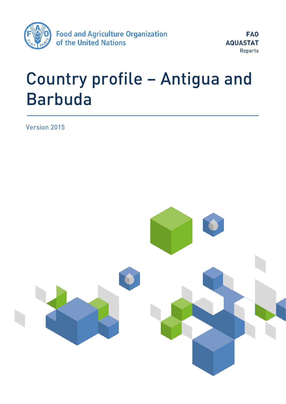

FA<sub>0</sub> **AQUASTAT Reports** 

# Country profile – Antigua and <u>Barbuda di Barbuda di</u>

Version 2015

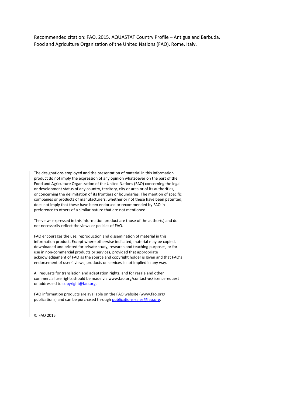Recommended citation: FAO. 2015. AQUASTAT Country Profile – Antigua and Barbuda. Food and Agriculture Organization of the United Nations (FAO). Rome, Italy.

The designations employed and the presentation of material in this information product do not imply the expression of any opinion whatsoever on the part of the Food and Agriculture Organization of the United Nations (FAO) concerning the legal or development status of any country, territory, city or area or of its authorities, or concerning the delimitation of its frontiers or boundaries. The mention of specific companies or products of manufacturers, whether or not these have been patented, does not imply that these have been endorsed or recommended by FAO in preference to others of a similar nature that are not mentioned.

The views expressed in this information product are those of the author(s) and do not necessarily reflect the views or policies of FAO.

FAO encourages the use, reproduction and dissemination of material in this information product. Except where otherwise indicated, material may be copied, downloaded and printed for private study, research and teaching purposes, or for use in non-commercial products or services, provided that appropriate acknowledgement of FAO as the source and copyright holder is given and that FAO's endorsement of users' views, products or services is not implied in any way.

All requests for translation and adaptation rights, and for resale and other commercial use rights should be made via www.fao.org/contact-us/licencerequest or addressed to [copyright@fao.org.](mailto:copyright@fao.org)

FAO information products are available on the FAO website (www.fao.org/ publications) and can be purchased throug[h publications-sales@fao.org.](mailto:publications-sales@fao.org)

© FAO 2015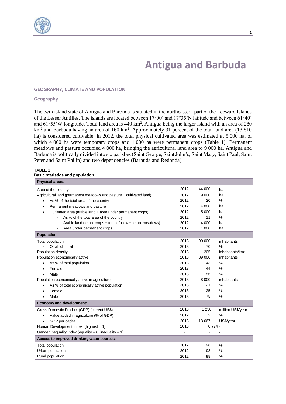

# **Antigua and Barbuda**

#### **GEOGRAPHY, CLIMATE AND POPULATION**

#### **Geography**

The twin island state of Antigua and Barbuda is situated in the northeastern part of the Leeward Islands of the Lesser Antilles. The islands are located between 17°00' and 17°35'N latitude and between 61°40' and  $61^{\circ}55'$ W longitude. Total land area is 440 km<sup>2</sup>, Antigua being the larger island with an area of 280 km<sup>2</sup> and Barbuda having an area of 160 km<sup>2</sup>. Approximately 31 percent of the total land area (13 810 ha) is considered cultivable. In 2012, the total physical cultivated area was estimated at 5 000 ha, of which 4 000 ha were temporary crops and 1 000 ha were permanent crops (Table 1). Permanent meadows and pasture occupied 4 000 ha, bringing the agricultural land area to 9 000 ha. Antigua and Barbuda is politically divided into six parishes (Saint George, Saint John's, Saint Mary, Saint Paul, Saint Peter and Saint Philip) and two dependencies (Barbuda and Redonda).

#### TABLE 1 **Basic statistics and population**

| <b>Physical areas:</b>                                                     |      |                |                             |
|----------------------------------------------------------------------------|------|----------------|-----------------------------|
| Area of the country                                                        | 2012 | 44 000         | ha                          |
| Agricultural land (permanent meadows and pasture + cultivated land)        |      | 9 0 0 0        | ha                          |
| As % of the total area of the country<br>$\bullet$                         |      | 20             | $\frac{0}{0}$               |
| Permanent meadows and pasture                                              | 2012 | 4 0 0 0        | ha                          |
| Cultivated area (arable land + area under permanent crops)                 | 2012 | 5 0 0 0        | ha                          |
| As % of the total area of the country                                      | 2012 | 11             | $\frac{0}{0}$               |
| Arable land (temp. crops + temp. fallow + temp. meadows)<br>$\blacksquare$ | 2012 | 4 0 0 0        | ha                          |
| Area under permanent crops<br>$\overline{\phantom{a}}$                     | 2012 | 1 0 0 0        | ha                          |
| <b>Population:</b>                                                         |      |                |                             |
| Total population                                                           | 2013 | 90 000         | inhabitants                 |
| Of which rural                                                             | 2013 | 70             | %                           |
| Population density                                                         | 2013 | 205            | inhabitants/km <sup>2</sup> |
| Population economically active                                             | 2013 | 39 000         | inhabitants                 |
| As % of total population                                                   | 2013 | 43             | %                           |
| Female                                                                     | 2013 | 44             | %                           |
| Male                                                                       | 2013 | 56             | $\frac{0}{0}$               |
| Population economically active in agriculture                              | 2013 | 8 0 0 0        | inhabitants                 |
| As % of total economically active population                               | 2013 | 21             | %                           |
| Female                                                                     | 2013 | 25             | %                           |
| Male<br>$\bullet$                                                          | 2013 | 75             | $\%$                        |
| Economy and development:                                                   |      |                |                             |
| Gross Domestic Product (GDP) (current US\$)                                | 2013 | 1 2 3 0        | million US\$/year           |
| Value added in agriculture (% of GDP)<br>٠                                 | 2012 | $\overline{2}$ | %                           |
| GDP per capita                                                             | 2013 | 13 667         | US\$/year                   |
| Human Development Index (highest = $1$ )                                   | 2013 | $0.774 -$      |                             |
| Gender Inequality Index (equality = 0, inequality = 1)                     |      |                |                             |
| Access to improved drinking water sources:                                 |      |                |                             |
| Total population                                                           | 2012 | 98             | $\%$                        |
| Urban population                                                           | 2012 | 98             | %                           |
| Rural population                                                           | 2012 | 98             | %                           |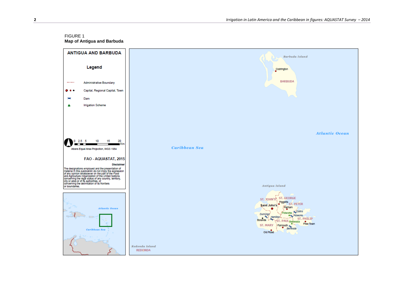## FIGURE 1



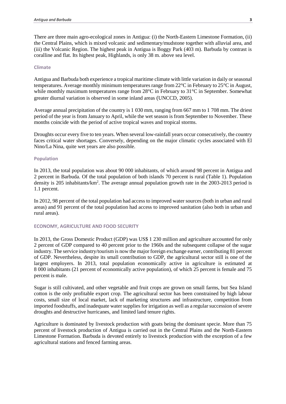There are three main agro-ecological zones in Antigua: (i) the North-Eastern Limestone Formation, (ii) the Central Plains, which is mixed volcanic and sedimentary/mudstone together with alluvial area, and (iii) the Volcanic Region. The highest peak in Antigua is Boggy Park (403 m). Barbuda by contrast is coralline and flat. Its highest peak, Highlands, is only 38 m. above sea level.

#### **Climate**

Antigua and Barbuda both experience a tropical maritime climate with little variation in daily or seasonal temperatures. Average monthly minimum temperatures range from 22°C in February to 25°C in August, while monthly maximum temperatures range from 28°C in February to 31°C in September. Somewhat greater diurnal variation is observed in some inland areas (UNCCD, 2005).

Average annual precipitation of the country is 1 030 mm, ranging from 667 mm to 1 708 mm. The driest period of the year is from January to April, while the wet season is from September to November. These months coincide with the period of active tropical waves and tropical storms.

Droughts occur every five to ten years. When several low-rainfall years occur consecutively, the country faces critical water shortages. Conversely, depending on the major climatic cycles associated with El Nino/La Nina, quite wet years are also possible.

#### **Population**

In 2013, the total population was about 90 000 inhabitants, of which around 98 percent in Antigua and 2 percent in Barbuda. Of the total population of both islands 70 percent is rural (Table 1). Population density is 205 inhabitants/km<sup>2</sup>. The average annual population growth rate in the 2003-2013 period is 1.1 percent.

In 2012, 98 percent of the total population had access to improved water sources (both in urban and rural areas) and 91 percent of the total population had access to improved sanitation (also both in urban and rural areas).

#### **ECONOMY, AGRICULTURE AND FOOD SECURITY**

In 2013, the Gross Domestic Product (GDP) was US\$ 1 230 million and agriculture accounted for only 2 percent of GDP compared to 40 percent prior to the 1960s and the subsequent collapse of the sugar industry. The service industry/tourism is now the major foreign exchange earner, contributing 81 percent of GDP. Nevertheless, despite its small contribution to GDP, the agricultural sector still is one of the largest employers. In 2013, total population economically active in agriculture is estimated at 8 000 inhabitants (21 percent of economically active population), of which 25 percent is female and 75 percent is male.

Sugar is still cultivated, and other vegetable and fruit crops are grown on small farms, but Sea Island cotton is the only profitable export crop. The agricultural sector has been constrained by high labour costs, small size of local market, lack of marketing structures and infrastructure, competition from imported foodstuffs, and inadequate water supplies for irrigation as well as a regular succession of severe droughts and destructive hurricanes, and limited land tenure rights.

Agriculture is dominated by livestock production with goats being the dominant specie. More than 75 percent of livestock production of Antigua is carried out in the Central Plains and the North-Eastern Limestone Formation. Barbuda is devoted entirely to livestock production with the exception of a few agricultural stations and fenced farming areas.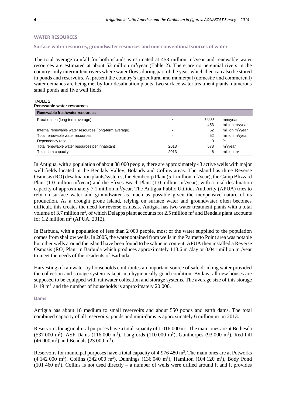#### **WATER RESOURCES**

#### **Surface water resources, groundwater resources and non-conventional sources of water**

The total average rainfall for both islands is estimated at  $453$  million m<sup>3</sup>/year and renewable water resources are estimated at about 52 million m<sup>3</sup>/year (Table 2). There are no perennial rivers in the country, only intermittent rivers where water flows during part of the year, which then can also be stored in ponds and reservoirs. At present the country's agricultural and municipal (domestic and commercial) water demands are being met by four desalination plants, two surface water treatment plants, numerous small ponds and five well fields.

#### TABLE 2 **Renewable water resources**

| Renewable freshwater resources:                        |      |         |                              |
|--------------------------------------------------------|------|---------|------------------------------|
| Precipitation (long-term average)                      |      | 1 0 3 0 | mm/year                      |
|                                                        |      | 453     | million m <sup>3</sup> /year |
| Internal renewable water resources (long-term average) |      | 52      | million $m^3$ /year          |
| Total renewable water resources                        | -    | 52      | million $m^3$ /year          |
| Dependency ratio                                       |      |         | %                            |
| Total renewable water resources per inhabitant         | 2013 | 578     | $m^3$ /year                  |
| Total dam capacity                                     | 2013 | 6       | million $m3$                 |

In Antigua, with a population of about 88 000 people, there are approximately 43 active wells with major well fields located in the Bendals Valley, Bolands and Collins areas. The island has three Reverse Osmosis (RO) desalination plants/systems, the Sembcorp Plant (5.1 million m<sup>3</sup>/year), the Camp Blizzard Plant (1.0 million  $m^3$ /year) and the Ffryes Beach Plant (1.0 million  $m^3$ /year), with a total desalination capacity of approximately 7.1 million m<sup>3</sup>/year. The Antigua Public Utilities Authority (APUA) tries to rely on surface water and groundwater as much as possible given the inexpensive nature of its production. As a drought prone island, relying on surface water and groundwater often becomes difficult, this creates the need for reverse osmosis. Antigua has two water treatment plants with a total volume of 3.7 million  $m^3$ , of which Delapps plant accounts for 2.5 million  $m^3$  and Bendals plant accounts for 1.2 million  $m^3$  (APUA, 2012).

In Barbuda, with a population of less than 2 000 people, most of the water supplied to the population comes from shallow wells. In 2005, the water obtained from wells in the Palmetto Point area was potable but other wells around the island have been found to be saline in content. APUA then installed a Reverse Osmosis (RO) Plant in Barbuda which produces approximately 113.6  $m^3$ /day or 0.041 million  $m^3$ /year to meet the needs of the residents of Barbuda.

Harvesting of rainwater by households contributes an important source of safe drinking water provided the collection and storage system is kept in a hygienically good condition. By law, all new houses are supposed to be equipped with rainwater collection and storage systems. The average size of this storage is 19  $m<sup>3</sup>$  and the number of households is approximately 20 000.

#### **Dams**

Antigua has about 18 medium to small reservoirs and about 550 ponds and earth dams. The total combined capacity of all reservoirs, ponds and mini-dams is approximately 6 million m<sup>3</sup> in 2013.

Reservoirs for agricultural purposes have a total capacity of  $1\,016\,000\,\mathrm{m}^3$ . The main ones are at Bethesda (537 000 m<sup>3</sup>), ASF Dams (116 000 m<sup>3</sup>), Langfords (110 000 m<sup>3</sup>), Gunthorpes (93 000 m<sup>3</sup>), Red hill  $(46 000 \text{ m}^3)$  and Bendals  $(23 000 \text{ m}^3)$ .

Reservoirs for municipal purposes have a total capacity of  $4\,976\,480\,\mathrm{m}^3$ . The main ones are at Potworks  $(4\ 142\ 000\ \text{m}^3)$ , Collins  $(342\ 000\ \text{m}^3)$ , Dunnings  $(136\ 040\ \text{m}^3)$ , Hamilton  $(104\ 120\ \text{m}^3)$ , Body Pond  $(101 460 \text{ m}^3)$ . Collins is not used directly – a number of wells were drilled around it and it provides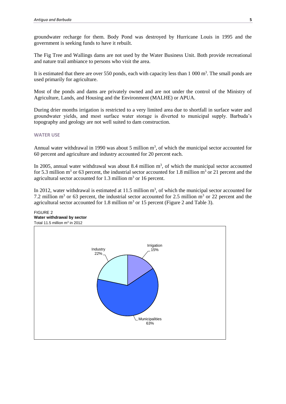groundwater recharge for them. Body Pond was destroyed by Hurricane Louis in 1995 and the government is seeking funds to have it rebuilt.

The Fig Tree and Wallings dams are not used by the Water Business Unit. Both provide recreational and nature trail ambiance to persons who visit the area.

It is estimated that there are over 550 ponds, each with capacity less than  $1\ 000 \text{ m}^3$ . The small ponds are used primarily for agriculture.

Most of the ponds and dams are privately owned and are not under the control of the Ministry of Agriculture, Lands, and Housing and the Environment (MALHE) or APUA.

During drier months irrigation is restricted to a very limited area due to shortfall in surface water and groundwater yields, and most surface water storage is diverted to municipal supply. Barbuda's topography and geology are not well suited to dam construction.

#### **WATER USE**

Annual water withdrawal in 1990 was about 5 million  $m<sup>3</sup>$ , of which the municipal sector accounted for 60 percent and agriculture and industry accounted for 20 percent each.

In 2005, annual water withdrawal was about 8.4 million  $m<sup>3</sup>$ , of which the municipal sector accounted for 5.3 million m<sup>3</sup> or 63 percent, the industrial sector accounted for 1.8 million m<sup>3</sup> or 21 percent and the agricultural sector accounted for  $1.3$  million  $m<sup>3</sup>$  or 16 percent.

In 2012, water withdrawal is estimated at 11.5 million  $m<sup>3</sup>$ , of which the municipal sector accounted for 7.2 million  $m^3$  or 63 percent, the industrial sector accounted for 2.5 million  $m^3$  or 22 percent and the agricultural sector accounted for 1.8 million  $m<sup>3</sup>$  or 15 percent (Figure 2 and Table 3).

### FIGURE 2 **Water withdrawal by sector**

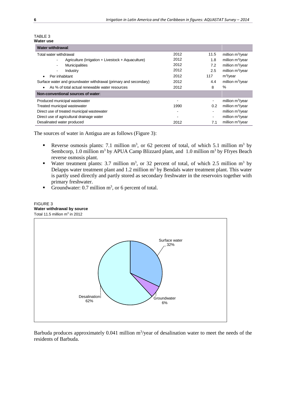| TABLE 3   |  |
|-----------|--|
| Water use |  |

| Water withdrawal:                                                              |      |      |                              |
|--------------------------------------------------------------------------------|------|------|------------------------------|
| Total water withdrawal                                                         | 2012 | 11.5 | million $m^3$ /year          |
| Agriculture (Irrigation + Livestock + Aquaculture)<br>$\overline{\phantom{a}}$ | 2012 | 1.8  | million $m^3$ /year          |
| <b>Municipalities</b><br>$\overline{\phantom{a}}$                              | 2012 | 7.2  | million $m^3$ /year          |
| Industry<br>$\overline{\phantom{a}}$                                           | 2012 | 2.5  | million $m^3$ /year          |
| Per inhabitant                                                                 | 2012 | 117  | $m^3$ /year                  |
| Surface water and groundwater withdrawal (primary and secondary)               | 2012 | 4.4  | million $m^3$ /year          |
| As % of total actual renewable water resources                                 | 2012 | 8    | $\%$                         |
| Non-conventional sources of water:                                             |      |      |                              |
| Produced municipal wastewater                                                  |      |      | million $m^3$ /year          |
| Treated municipal wastewater                                                   | 1990 | 0.2  | million m <sup>3</sup> /year |
| Direct use of treated municipal wastewater                                     |      |      | million $m^3$ /year          |
| Direct use of agricultural drainage water                                      |      |      | million $m^3$ /year          |
| Desalinated water produced                                                     | 2012 | 7.1  | million $m^3$ /year          |

The sources of water in Antigua are as follows (Figure 3):

- Reverse osmosis plants: 7.1 million  $m^3$ , or 62 percent of total, of which 5.1 million  $m^3$  by Sembcorp, 1.0 million m<sup>3</sup> by APUA Camp Blizzard plant, and 1.0 million m<sup>3</sup> by Ffryes Beach reverse osmosis plant.
- Water treatment plants: 3.7 million  $m^3$ , or 32 percent of total, of which 2.5 million  $m^3$  by Delapps water treatment plant and 1.2 million  $m^3$  by Bendals water treatment plant. This water is partly used directly and partly stored as secondary freshwater in the reservoirs together with primary freshwater.
- Groundwater: 0.7 million  $m^3$ , or 6 percent of total.

#### FIGURE 3 **Water withdrawal by source** Total 11.5 million  $m^3$  in 2012



Barbuda produces approximately 0.041 million  $m^3$ /year of desalination water to meet the needs of the residents of Barbuda.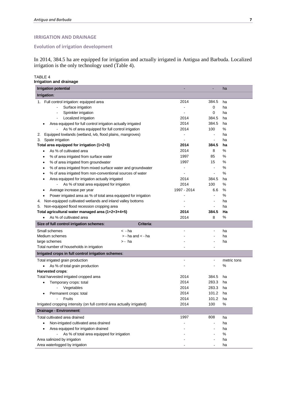#### **IRRIGATION AND DRAINAGE**

**Evolution of irrigation development**

In 2014, 384.5 ha are equipped for irrigation and actually irrigated in Antigua and Barbuda. Localized irrigation is the only technology used (Table 4).

TABLE 4 **Irrigation and drainage**

| <b>Irrigation potential</b>                                               |                       |                |                          | ha          |
|---------------------------------------------------------------------------|-----------------------|----------------|--------------------------|-------------|
| Irrigation:                                                               |                       |                |                          |             |
| Full control irrigation: equipped area<br>1.                              |                       | 2014           | 384.5                    | ha          |
| Surface irrigation                                                        |                       |                | 0                        | ha          |
| Sprinkler irrigation<br>$\blacksquare$                                    |                       |                | 0                        | ha          |
| Localized irrigation                                                      |                       | 2014           | 384.5                    | ha          |
| Area equipped for full control irrigation actually irrigated              |                       | 2014           | 384.5                    | ha          |
| As % of area equipped for full control irrigation                         |                       | 2014           | 100                      | %           |
| Equipped lowlands (wetland, ivb, flood plains, mangroves)<br>2.           |                       | $\overline{a}$ | $\blacksquare$           | ha          |
| Spate irrigation<br>3.                                                    |                       |                | $\overline{\phantom{a}}$ | ha          |
| Total area equipped for irrigation (1+2+3)                                |                       | 2014           | 384.5                    | ha          |
| As % of cultivated area<br>٠                                              |                       | 2014           | 8                        | %           |
| % of area irrigated from surface water<br>٠                               |                       | 1997           | 85                       | %           |
| % of area irrigated from groundwater<br>$\bullet$                         |                       | 1997           | 15                       | %           |
| % of area irrigated from mixed surface water and groundwater<br>$\bullet$ |                       |                | $\blacksquare$           | %           |
| % of area irrigated from non-conventional sources of water<br>٠           |                       |                | $\blacksquare$           | %           |
| Area equipped for irrigation actually irrigated<br>٠                      |                       | 2014           | 384.5                    | ha          |
| As % of total area equipped for irrigation                                |                       | 2014           | 100                      | %           |
| Average increase per year<br>٠                                            |                       | 1997 - 2014    | 6.6                      | %           |
| Power irrigated area as % of total area equipped for irrigation           |                       |                | $\blacksquare$           | %           |
| Non-equipped cultivated wetlands and inland valley bottoms<br>4.          |                       |                |                          | ha          |
| Non-equipped flood recession cropping area<br>5.                          |                       |                | $\blacksquare$           | ha          |
| Total agricultural water managed area (1+2+3+4+5)                         |                       | 2014           | 384.5                    | Ha          |
| As % of cultivated area<br>٠                                              |                       | 2014           | 8                        | %           |
| Size of full control irrigation schemes:                                  | Criteria:             |                |                          |             |
| Small schemes                                                             | < -ha                 |                | $\blacksquare$           | ha          |
| Medium schemes                                                            | $>$ - ha and $<$ - ha |                |                          | ha          |
| large schemes                                                             | > - ha                |                |                          | ha          |
| Total number of households in irrigation                                  |                       |                |                          |             |
| Irrigated crops in full control irrigation schemes:                       |                       |                |                          |             |
|                                                                           |                       | $\overline{a}$ | $\overline{a}$           |             |
| Total irrigated grain production                                          |                       |                |                          | metric tons |
| As % of total grain production                                            |                       |                |                          | %           |
| Harvested crops:                                                          |                       |                |                          |             |
| Total harvested irrigated cropped area                                    |                       | 2014           | 384.5<br>283.3           | ha          |
| Temporary crops: total                                                    |                       | 2014           | 283.3                    | ha          |
| Vegetables                                                                |                       | 2014           |                          | ha          |
| Permanent crops: total                                                    |                       | 2014           | 101.2                    | ha          |
| Fruits                                                                    |                       | 2014           | 101.2                    | ha          |
| Irrigated cropping intensity (on full control area actually irrigated)    |                       | 2014           | 100                      | %           |
| Drainage - Environment:                                                   |                       |                |                          |             |
| Total cultivated area drained                                             |                       | 1997           | 808                      | ha          |
| Non-irrigated cultivated area drained                                     |                       |                | -                        | ha          |
| Area equipped for irrigation drained                                      |                       |                |                          | ha          |
| As % of total area equipped for irrigation                                |                       |                |                          | $\%$        |
| Area salinized by irrigation                                              |                       |                |                          | ha          |
| Area waterlogged by irrigation                                            |                       |                |                          | ha          |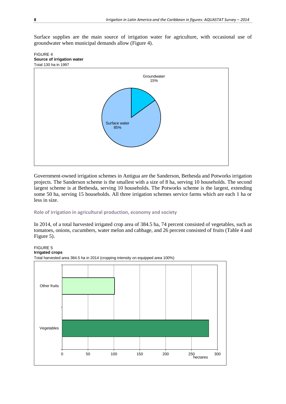Surface supplies are the main source of irrigation water for agriculture, with occasional use of groundwater when municipal demands allow (Figure 4).





Government-owned irrigation schemes in Antigua are the Sanderson, Bethesda and Potworks irrigation projects. The Sanderson scheme is the smallest with a size of 8 ha, serving 10 households. The second largest scheme is at Bethesda, serving 10 households. The Potworks scheme is the largest, extending some 50 ha, serving 15 households. All three irrigation schemes service farms which are each 1 ha or less in size.

#### **Role of irrigation in agricultural production, economy and society**

In 2014, of a total harvested irrigated crop area of 384.5 ha, 74 percent consisted of vegetables, such as tomatoes, onions, cucumbers, water melon and cabbage, and 26 percent consisted of fruits (Table 4 and Figure 5).

FIGURE 5



Total harvested area 384.5 ha in 2014 (cropping intensity on equipped area 100%)

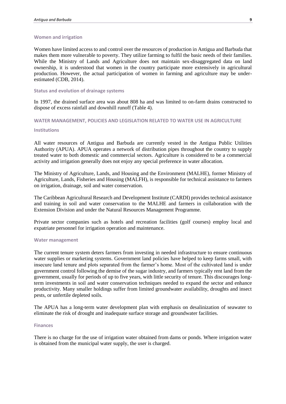#### **Women and irrigation**

Women have limited access to and control over the resources of production in Antigua and Barbuda that makes them more vulnerable to poverty. They utilize farming to fulfil the basic needs of their families. While the Ministry of Lands and Agriculture does not maintain sex-disaggregated data on land ownership, it is understood that women in the country participate more extensively in agricultural production. However, the actual participation of women in farming and agriculture may be underestimated (CDB, 2014).

#### **Status and evolution of drainage systems**

In 1997, the drained surface area was about 808 ha and was limited to on-farm drains constructed to dispose of excess rainfall and downhill runoff (Table 4).

#### **WATER MANAGEMENT, POLICIES AND LEGISLATION RELATED TO WATER USE IN AGRICULTURE**

#### **Institutions**

All water resources of Antigua and Barbuda are currently vested in the Antigua Public Utilities Authority (APUA). APUA operates a network of distribution pipes throughout the country to supply treated water to both domestic and commercial sectors. Agriculture is considered to be a commercial activity and irrigation generally does not enjoy any special preference in water allocation.

The Ministry of Agriculture, Lands, and Housing and the Environment (MALHE), former Ministry of Agriculture, Lands, Fisheries and Housing (MALFH), is responsible for technical assistance to farmers on irrigation, drainage, soil and water conservation.

The Caribbean Agricultural Research and Development Institute (CARDI) provides technical assistance and training in soil and water conservation to the MALHE and farmers in collaboration with the Extension Division and under the Natural Resources Management Programme.

Private sector companies such as hotels and recreation facilities (golf courses) employ local and expatriate personnel for irrigation operation and maintenance.

#### **Water management**

The current tenure system deters farmers from investing in needed infrastructure to ensure continuous water supplies or marketing systems. Government land policies have helped to keep farms small, with insecure land tenure and plots separated from the farmer's home. Most of the cultivated land is under government control following the demise of the sugar industry, and farmers typically rent land from the government, usually for periods of up to five years, with little security of tenure. This discourages longterm investments in soil and water conservation techniques needed to expand the sector and enhance productivity. Many smaller holdings suffer from limited groundwater availability, droughts and insect pests, or unfertile depleted soils.

The APUA has a long-term water development plan with emphasis on desalinization of seawater to eliminate the risk of drought and inadequate surface storage and groundwater facilities.

#### **Finances**

There is no charge for the use of irrigation water obtained from dams or ponds. Where irrigation water is obtained from the municipal water supply, the user is charged.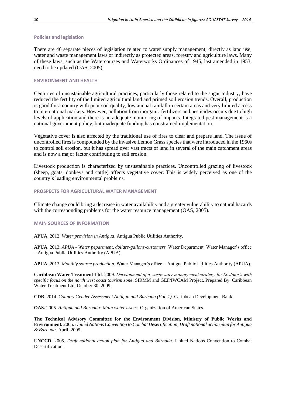#### **Policies and legislation**

There are 46 separate pieces of legislation related to water supply management, directly as land use, water and waste management laws or indirectly as protected areas, forestry and agriculture laws. Many of these laws, such as the Watercourses and Waterworks Ordinances of 1945, last amended in 1953, need to be updated (OAS, 2005).

#### **ENVIRONMENT AND HEALTH**

Centuries of unsustainable agricultural practices, particularly those related to the sugar industry, have reduced the fertility of the limited agricultural land and primed soil erosion trends. Overall, production is good for a country with poor soil quality, low annual rainfall in certain areas and very limited access to international markets. However, pollution from inorganic fertilizers and pesticides occurs due to high levels of application and there is no adequate monitoring of impacts. Integrated pest management is a national government policy, but inadequate funding has constrained implementation.

Vegetative cover is also affected by the traditional use of fires to clear and prepare land. The issue of uncontrolled fires is compounded by the invasive Lemon Grass species that were introduced in the 1960s to control soil erosion, but it has spread over vast tracts of land in several of the main catchment areas and is now a major factor contributing to soil erosion.

Livestock production is characterized by unsustainable practices. Uncontrolled grazing of livestock (sheep, goats, donkeys and cattle) affects vegetative cover. This is widely perceived as one of the country's leading environmental problems.

#### **PROSPECTS FOR AGRICULTURAL WATER MANAGEMENT**

Climate change could bring a decrease in water availability and a greater vulnerability to natural hazards with the corresponding problems for the water resource management (OAS, 2005).

#### **MAIN SOURCES OF INFORMATION**

**APUA**. 2012. *Water provision in Antigua*. Antigua Public Utilities Authority.

**APUA**. 2013. *APUA - Water pepartment, dollars-gallons-customers.* Water Department. Water Manager's office – Antigua Public Utilities Authority (APUA).

**APUA**. 2013. *Monthly source production.* Water Manager's office – Antigua Public Utilities Authority (APUA).

**Caribbean Water Treatment Ltd**. 2009. *Development of a wastewater management strategy for St. John's with specific focus on the north west coast tourism zone*. SIRMM and GEF/IWCAM Project. Prepared By: Caribbean Water Treatment Ltd. October 30, 2009.

**CDB**. 2014. *Country Gender Assessment Antigua and Barbuda (Vol. 1)*. Caribbean Development Bank.

**OAS.** 2005. *Antigua and Barbuda: Main water issues*. Organization of American States.

**The Technical Advisory Committee for the Environment Division, Ministry of Public Works and Environment.** 2005. *United Nations Convention to Combat Desertification, Draft national action plan for Antigua & Barbuda*. April, 2005.

**UNCCD.** 2005. *Draft national action plan for Antigua and Barbuda*. United Nations Convention to Combat Desertification.